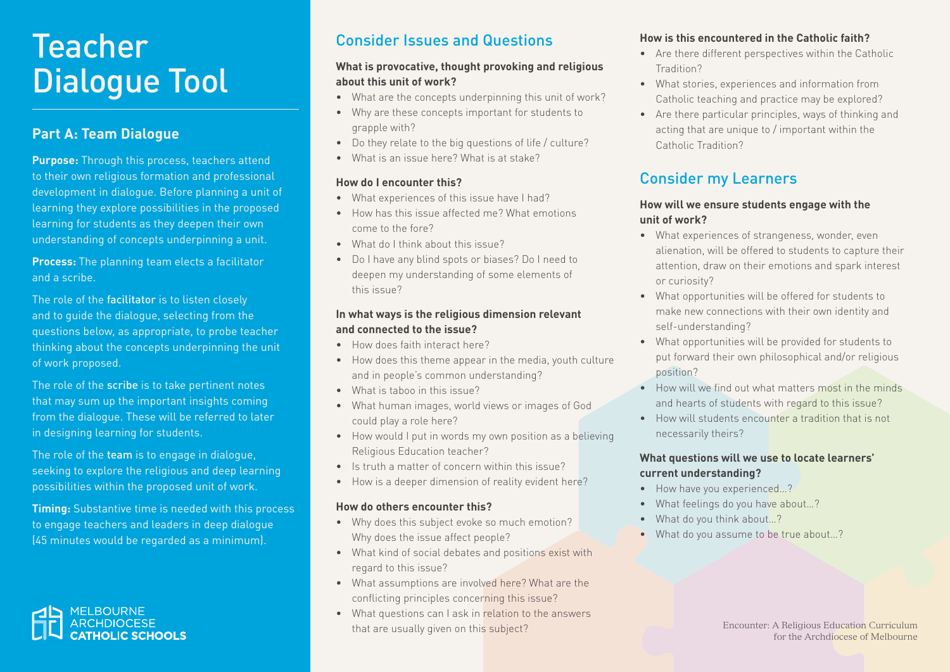# **Teacher** Dialogue Tool

### **Part A: Team Dialogue**

**Purpose:** Through this process, teachers attend to their own religious formation and professional development in dialogue. Before planning a unit of learning they explore possibilities in the proposed learning for students as they deepen their own understanding of concepts underpinning a unit.

**Process:** The planning team elects a facilitator and a scribe.

The role of the facilitator is to listen closely and to guide the dialogue, selecting from the questions below, as appropriate, to probe teacher thinking about the concepts underpinning the unit of work proposed.

The role of the scribe is to take pertinent notes that may sum up the important insights coming from the dialogue. These will be referred to later in designing learning for students.

The role of the team is to engage in dialogue, seeking to explore the religious and deep learning possibilities within the proposed unit of work.

**Timing:** Substantive time is needed with this process to engage teachers and leaders in deep dialogue (45 minutes would be regarded as a minimum).



## Consider Issues and Questions

#### **What is provocative, thought provoking and religious about this unit of work?**

- What are the concepts underpinning this unit of work?
- Why are these concepts important for students to grapple with?
- Do they relate to the big questions of life / culture?
- What is an issue here? What is at stake?

### **How do I encounter this?**

- What experiences of this issue have I had?
- How has this issue affected me? What emotions come to the fore?
- What do I think about this issue?
- Do I have any blind spots or biases? Do I need to deepen my understanding of some elements of this issue?

### **In what ways is the religious dimension relevant and connected to the issue?**

- How does faith interact here?
- How does this theme appear in the media, youth culture and in people's common understanding?
- What is taboo in this issue?
- What human images, world views or images of God could play a role here?
- How would I put in words my own position as a believing Religious Education teacher?
- Is truth a matter of concern within this issue?
- How is a deeper dimension of reality evident here?

#### **How do others encounter this?**

- Why does this subject evoke so much emotion? Why does the issue affect people?
- What kind of social debates and positions exist with regard to this issue?
- What assumptions are involved here? What are the conflicting principles concerning this issue?
- What questions can I ask in relation to the answers that are usually given on this subject?

### **How is this encountered in the Catholic faith?**

- Are there different perspectives within the Catholic Tradition?
- What stories, experiences and information from Catholic teaching and practice may be explored?
- Are there particular principles, ways of thinking and acting that are unique to / important within the Catholic Tradition?

## Consider my Learners

### **How will we ensure students engage with the unit of work?**

- What experiences of strangeness, wonder, even alienation, will be offered to students to capture their attention, draw on their emotions and spark interest or curiosity?
- What opportunities will be offered for students to make new connections with their own identity and self-understanding?
- What opportunities will be provided for students to put forward their own philosophical and/or religious position?
- How will we find out what matters most in the minds and hearts of students with regard to this issue?
- How will students encounter a tradition that is not necessarily theirs?

### **What questions will we use to locate learners' current understanding?**

- How have you experienced...?
- What feelings do you have about…?
- What do you think about…?
- What do you assume to be true about...?